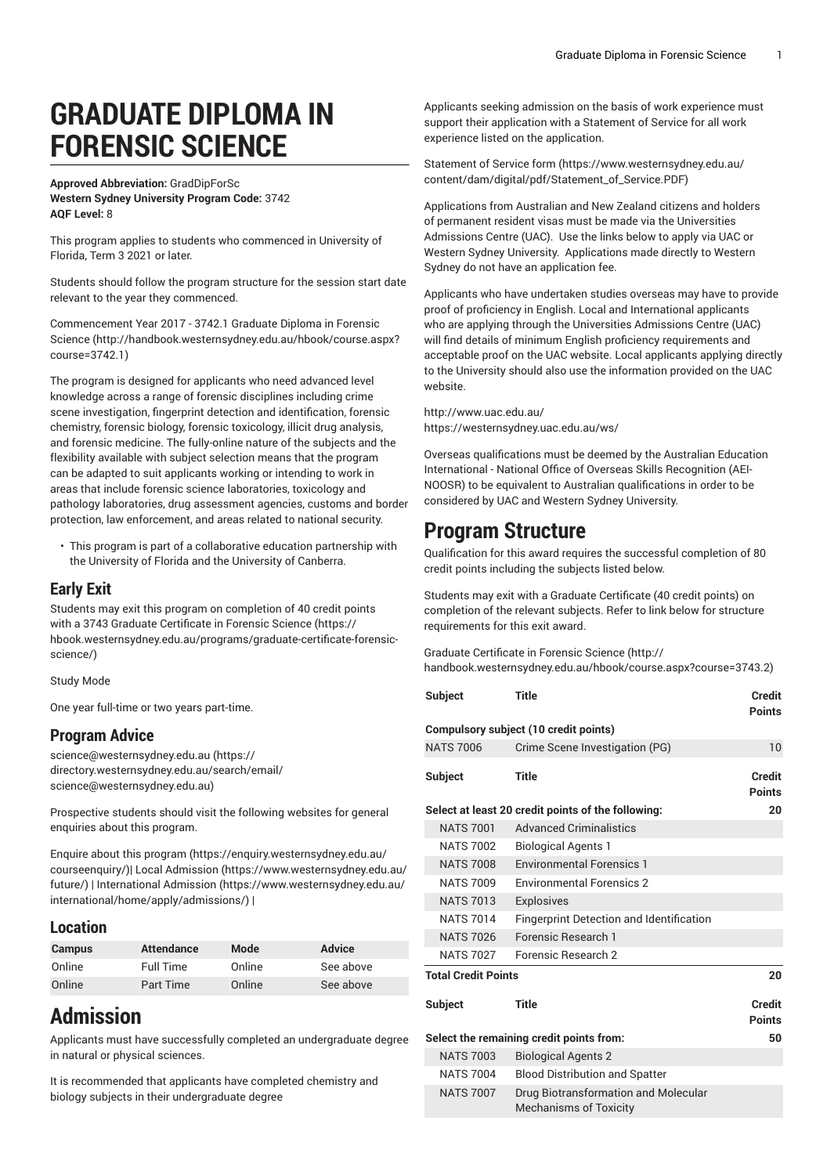# **GRADUATE DIPLOMA IN FORENSIC SCIENCE**

#### **Approved Abbreviation:** GradDipForSc **Western Sydney University Program Code:** 3742 **AQF Level:** 8

This program applies to students who commenced in University of Florida, Term 3 2021 or later.

Students should follow the program structure for the session start date relevant to the year they commenced.

[Commencement](http://handbook.westernsydney.edu.au/hbook/course.aspx?course=3742.1) Year 2017 - 3742.1 Graduate Diploma in Forensic [Science](http://handbook.westernsydney.edu.au/hbook/course.aspx?course=3742.1) [\(http://handbook.westernsydney.edu.au/hbook/course.aspx?](http://handbook.westernsydney.edu.au/hbook/course.aspx?course=3742.1) [course=3742.1\)](http://handbook.westernsydney.edu.au/hbook/course.aspx?course=3742.1)

The program is designed for applicants who need advanced level knowledge across a range of forensic disciplines including crime scene investigation, fingerprint detection and identification, forensic chemistry, forensic biology, forensic toxicology, illicit drug analysis, and forensic medicine. The fully-online nature of the subjects and the flexibility available with subject selection means that the program can be adapted to suit applicants working or intending to work in areas that include forensic science laboratories, toxicology and pathology laboratories, drug assessment agencies, customs and border protection, law enforcement, and areas related to national security.

• This program is part of a collaborative education partnership with the University of Florida and the University of Canberra.

#### **Early Exit**

Students may exit this program on completion of 40 credit points with a 3743 Graduate [Certificate](https://hbook.westernsydney.edu.au/programs/graduate-certificate-forensic-science/) in Forensic Science [\(https://](https://hbook.westernsydney.edu.au/programs/graduate-certificate-forensic-science/) [hbook.westernsydney.edu.au/programs/graduate-certificate-forensic](https://hbook.westernsydney.edu.au/programs/graduate-certificate-forensic-science/)[science/\)](https://hbook.westernsydney.edu.au/programs/graduate-certificate-forensic-science/)

Study Mode

One year full-time or two years part-time.

#### **Program Advice**

[science@westernsydney.edu.au \(https://](https://directory.westernsydney.edu.au/search/email/science@westernsydney.edu.au) [directory.westernsydney.edu.au/search/email/](https://directory.westernsydney.edu.au/search/email/science@westernsydney.edu.au) [science@westernsydney.edu.au\)](https://directory.westernsydney.edu.au/search/email/science@westernsydney.edu.au)

Prospective students should visit the following websites for general enquiries about this program.

Enquire about this [program \(https://enquiry.westernsydney.edu.au/](https://enquiry.westernsydney.edu.au/courseenquiry/) [courseenquiry/](https://enquiry.westernsydney.edu.au/courseenquiry/))| [Local Admission \(https://www.westernsydney.edu.au/](https://www.westernsydney.edu.au/future/) [future/\)](https://www.westernsydney.edu.au/future/) | [International Admission](https://www.westernsydney.edu.au/international/home/apply/admissions/) ([https://www.westernsydney.edu.au/](https://www.westernsydney.edu.au/international/home/apply/admissions/) [international/home/apply/admissions/](https://www.westernsydney.edu.au/international/home/apply/admissions/)) |

#### **Location**

| <b>Campus</b> | <b>Attendance</b> | Mode   | <b>Advice</b> |
|---------------|-------------------|--------|---------------|
| Online        | Full Time         | Online | See above     |
| Online        | Part Time         | Online | See above     |

## **Admission**

Applicants must have successfully completed an undergraduate degree in natural or physical sciences.

It is recommended that applicants have completed chemistry and biology subjects in their undergraduate degree

Applicants seeking admission on the basis of work experience must support their application with a Statement of Service for all work experience listed on the application.

[Statement](https://www.westernsydney.edu.au/content/dam/digital/pdf/Statement_of_Service.PDF) of Service form [\(https://www.westernsydney.edu.au/](https://www.westernsydney.edu.au/content/dam/digital/pdf/Statement_of_Service.PDF) [content/dam/digital/pdf/Statement\\_of\\_Service.PDF](https://www.westernsydney.edu.au/content/dam/digital/pdf/Statement_of_Service.PDF))

Applications from Australian and New Zealand citizens and holders of permanent resident visas must be made via the Universities Admissions Centre (UAC). Use the links below to apply via UAC or Western Sydney University. Applications made directly to Western Sydney do not have an application fee.

Applicants who have undertaken studies overseas may have to provide proof of proficiency in English. Local and International applicants who are applying through the Universities Admissions Centre (UAC) will find details of minimum English proficiency requirements and acceptable proof on the UAC website. Local applicants applying directly to the University should also use the information provided on the UAC website.

<http://www.uac.edu.au/> <https://westernsydney.uac.edu.au/ws/>

Overseas qualifications must be deemed by the Australian Education International - National Office of Overseas Skills Recognition (AEI-NOOSR) to be equivalent to Australian qualifications in order to be considered by UAC and Western Sydney University.

### **Program Structure**

Qualification for this award requires the successful completion of 80 credit points including the subjects listed below.

Students may exit with a Graduate Certificate (40 credit points) on completion of the relevant subjects. Refer to link below for structure requirements for this exit award.

Graduate [Certificate](http://handbook.westernsydney.edu.au/hbook/course.aspx?course=3743.2) in Forensic Science ([http://](http://handbook.westernsydney.edu.au/hbook/course.aspx?course=3743.2) [handbook.westernsydney.edu.au/hbook/course.aspx?course=3743.2](http://handbook.westernsydney.edu.au/hbook/course.aspx?course=3743.2))

| Subject                                                  | Title                                                                 | Credit<br><b>Points</b>        |  |  |  |
|----------------------------------------------------------|-----------------------------------------------------------------------|--------------------------------|--|--|--|
| Compulsory subject (10 credit points)                    |                                                                       |                                |  |  |  |
| <b>NATS 7006</b>                                         | Crime Scene Investigation (PG)                                        | 10                             |  |  |  |
| <b>Subject</b>                                           | Title                                                                 | <b>Credit</b><br><b>Points</b> |  |  |  |
| Select at least 20 credit points of the following:<br>20 |                                                                       |                                |  |  |  |
| <b>NATS 7001</b>                                         | <b>Advanced Criminalistics</b>                                        |                                |  |  |  |
| <b>NATS 7002</b>                                         | <b>Biological Agents 1</b>                                            |                                |  |  |  |
| <b>NATS 7008</b>                                         | <b>Environmental Forensics 1</b>                                      |                                |  |  |  |
| <b>NATS 7009</b>                                         | <b>Environmental Forensics 2</b>                                      |                                |  |  |  |
| <b>NATS 7013</b>                                         | <b>Explosives</b>                                                     |                                |  |  |  |
| <b>NATS 7014</b>                                         | <b>Fingerprint Detection and Identification</b>                       |                                |  |  |  |
| <b>NATS 7026</b>                                         | Forensic Research 1                                                   |                                |  |  |  |
| <b>NATS 7027</b>                                         | Forensic Research 2                                                   |                                |  |  |  |
| <b>Total Credit Points</b><br>20                         |                                                                       |                                |  |  |  |
| <b>Subject</b>                                           | <b>Title</b>                                                          | <b>Credit</b><br><b>Points</b> |  |  |  |
| Select the remaining credit points from:                 |                                                                       | 50                             |  |  |  |
| <b>NATS 7003</b>                                         | <b>Biological Agents 2</b>                                            |                                |  |  |  |
| <b>NATS 7004</b>                                         | <b>Blood Distribution and Spatter</b>                                 |                                |  |  |  |
| <b>NATS 7007</b>                                         | Drug Biotransformation and Molecular<br><b>Mechanisms of Toxicity</b> |                                |  |  |  |